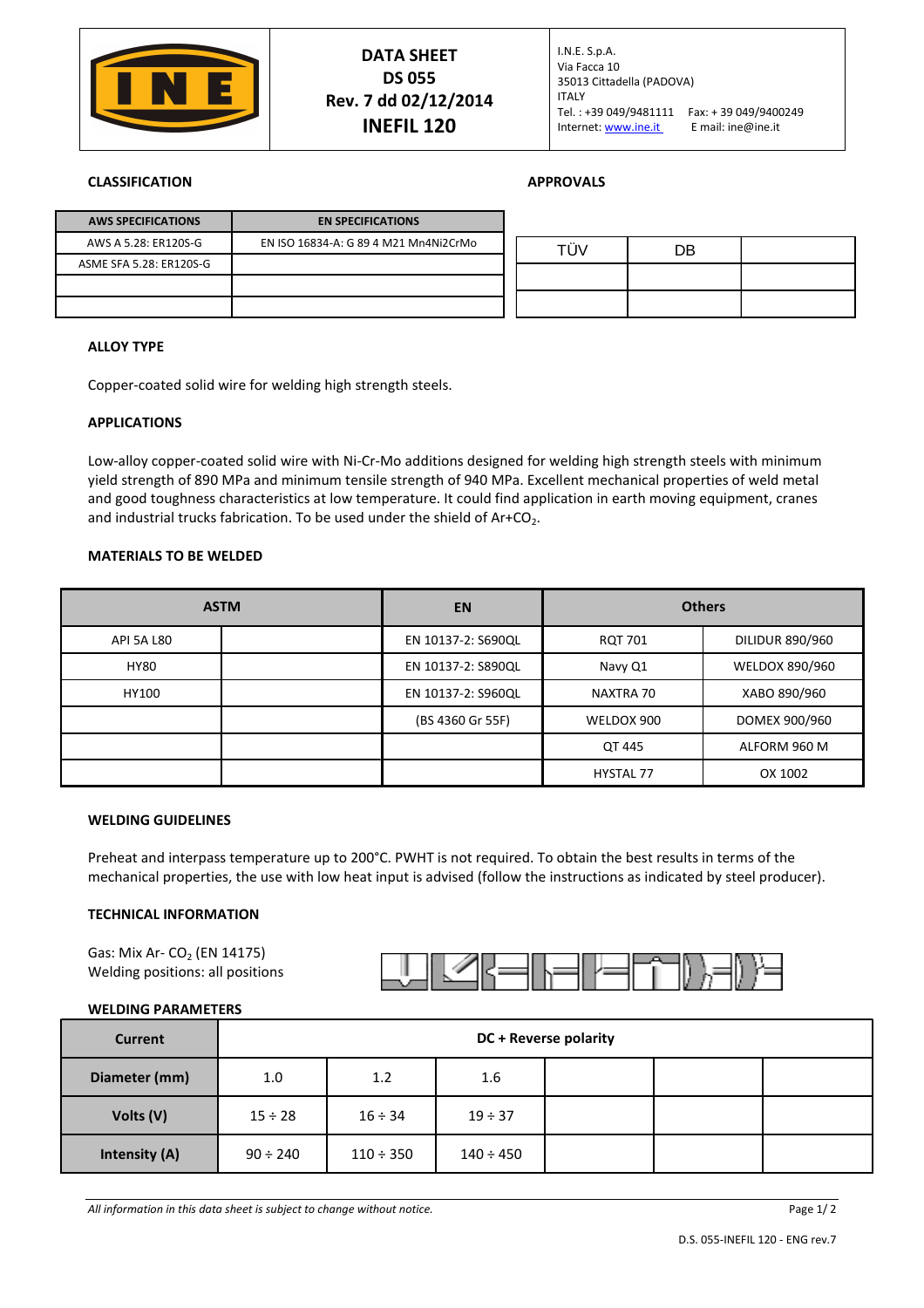

# **CLASSIFICATION APPROVALS**

| <b>AWS SPECIFICATIONS</b> | <b>EN SPECIFICATIONS</b>              |
|---------------------------|---------------------------------------|
| AWS A 5.28: ER120S-G      | EN ISO 16834-A: G 89 4 M21 Mn4Ni2CrMo |
| ASME SFA 5.28: ER120S-G   |                                       |
|                           |                                       |
|                           |                                       |

| TÜV | DB |  |
|-----|----|--|
|     |    |  |
|     |    |  |

# **ALLOY TYPE**

Copper-coated solid wire for welding high strength steels.

## **APPLICATIONS**

Low-alloy copper-coated solid wire with Ni-Cr-Mo additions designed for welding high strength steels with minimum yield strength of 890 MPa and minimum tensile strength of 940 MPa. Excellent mechanical properties of weld metal and good toughness characteristics at low temperature. It could find application in earth moving equipment, cranes and industrial trucks fabrication. To be used under the shield of  $Ar+CO<sub>2</sub>$ .

# **MATERIALS TO BE WELDED**

| <b>ASTM</b>       |  | <b>EN</b>          |                                   | <b>Others</b> |
|-------------------|--|--------------------|-----------------------------------|---------------|
| <b>API 5A L80</b> |  | EN 10137-2: S690QL | DILIDUR 890/960<br><b>RQT 701</b> |               |
| <b>HY80</b>       |  | EN 10137-2: S890QL | WELDOX 890/960<br>Navy Q1         |               |
| HY100             |  | EN 10137-2: S960QL | XABO 890/960<br>NAXTRA 70         |               |
|                   |  | (BS 4360 Gr 55F)   | DOMEX 900/960<br>WELDOX 900       |               |
|                   |  |                    | QT 445<br>ALFORM 960 M            |               |
|                   |  |                    | <b>HYSTAL 77</b>                  | OX 1002       |

#### **WELDING GUIDELINES**

Preheat and interpass temperature up to 200°C. PWHT is not required. To obtain the best results in terms of the mechanical properties, the use with low heat input is advised (follow the instructions as indicated by steel producer).

### **TECHNICAL INFORMATION**

Gas: Mix Ar- CO<sub>2</sub> (EN 14175) Welding positions: all positions



### **WELDING PARAMETERS**

| <b>Current</b> | DC + Reverse polarity |                |                |  |  |  |  |
|----------------|-----------------------|----------------|----------------|--|--|--|--|
| Diameter (mm)  | 1.2<br>1.0<br>1.6     |                |                |  |  |  |  |
| Volts (V)      | $15 \div 28$          | $16 \div 34$   | $19 \div 37$   |  |  |  |  |
| Intensity (A)  | $90 \div 240$         | $110 \div 350$ | $140 \div 450$ |  |  |  |  |

*All information in this data sheet is subject to change without notice.* Page 1/ 2